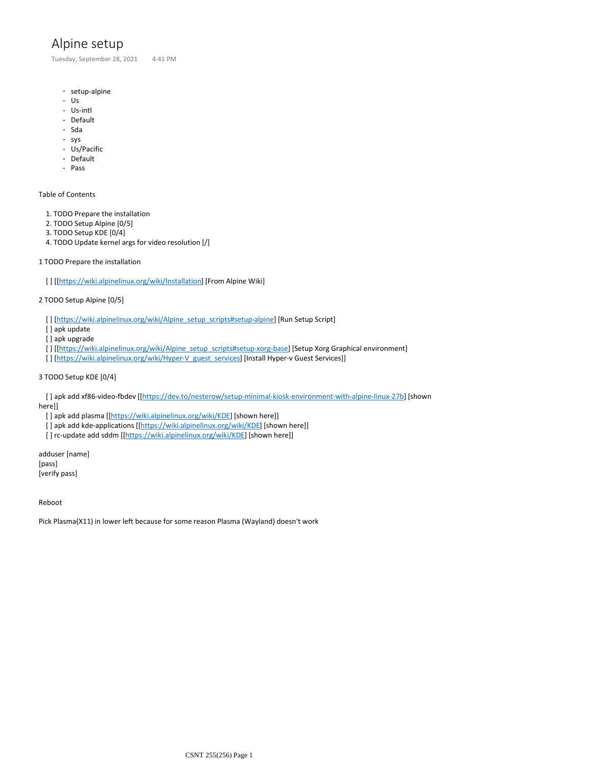# Alpine setup

Tuesday, September 28, 2021 4:41 PM

- setup-alpine
- Us
- Us-intl
- Default
- Sda
- sys
- Us/Pacific
- Default
- Pass

## Table of Contents

- 1. TODO Prepare the installation
- 2. TODO Setup Alpine [0/5]
- 3. TODO Setup KDE [0/4]
- 4. TODO Update kernel args for video resolution [/]

#### 1 TODO Prepare the installation

[ ] [[\[https://wiki.alpinelinux.org/wiki/Installation\]](https://wiki.alpinelinux.org/wiki/Installation) [From Alpine Wiki]

### 2 TODO Setup Alpine [0/5]

[ ] [[https://wiki.alpinelinux.org/wiki/Alpine\\_setup\\_scripts#setup-alpine](https://wiki.alpinelinux.org/wiki/Alpine_setup_scripts#setup-alpine)] [Run Setup Script]

- [ ] apk update
- [] apk upgrade
- [ ] [[\[https://wiki.alpinelinux.org/wiki/Alpine\\_setup\\_scripts#setup-xorg-base\]](https://wiki.alpinelinux.org/wiki/Alpine_setup_scripts#setup-xorg-base) [Setup Xorg Graphical environment]
- [ ] [[https://wiki.alpinelinux.org/wiki/Hyper-V\\_guest\\_services\]](https://wiki.alpinelinux.org/wiki/Hyper-V_guest_services) [Install Hyper-v Guest Services]]

#### 3 TODO Setup KDE [0/4]

 [ ] apk add xf86-video-fbdev [[[https://dev.to/nesterow/setup-minimal-kiosk-environment-with-alpine-linux-27b\]](https://dev.to/nesterow/setup-minimal-kiosk-environment-with-alpine-linux-27b) [shown here]]

[] apk add plasma [[\[https://wiki.alpinelinux.org/wiki/KDE\]](https://wiki.alpinelinux.org/wiki/KDE) [shown here]]

- [] apk add kde-applications [[<https://wiki.alpinelinux.org/wiki/KDE>] [shown here]]
- [] rc-update add sddm [[\[https://wiki.alpinelinux.org/wiki/KDE\]](https://wiki.alpinelinux.org/wiki/KDE) [shown here]]

adduser [name] [pass] [verify pass]

Reboot

Pick Plasma(X11) in lower left because for some reason Plasma (Wayland) doesn't work